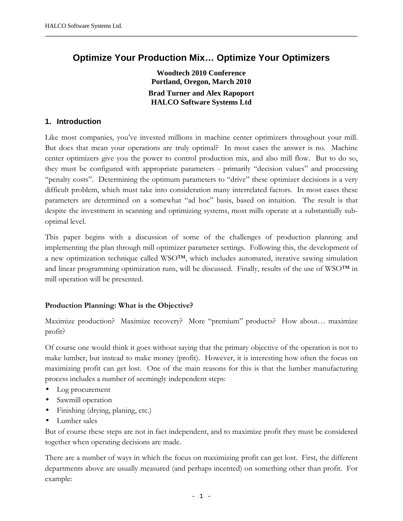# **Optimize Your Production Mix… Optimize Your Optimizers**

**──────────────────────────────────────────────────────────────────────────────────────**

**Woodtech 2010 Conference Portland, Oregon, March 2010 Brad Turner and Alex Rapoport HALCO Software Systems Ltd**

#### **1. Introduction**

Like most companies, you've invested millions in machine center optimizers throughout your mill. But does that mean your operations are truly optimal? In most cases the answer is no. Machine center optimizers give you the power to control production mix, and also mill flow. But to do so, they must be configured with appropriate parameters - primarily "decision values" and processing "penalty costs". Determining the optimum parameters to "drive" these optimizer decisions is a very difficult problem, which must take into consideration many interrelated factors. In most cases these parameters are determined on a somewhat "ad hoc" basis, based on intuition. The result is that despite the investment in scanning and optimizing systems, most mills operate at a substantially suboptimal level.

This paper begins with a discussion of some of the challenges of production planning and implementing the plan through mill optimizer parameter settings. Following this, the development of a new optimization technique called WSO™, which includes automated, iterative sawing simulation and linear programming optimization runs, will be discussed. Finally, results of the use of WSO™ in mill operation will be presented.

#### **Production Planning: What is the Objective?**

Maximize production? Maximize recovery? More "premium" products? How about… maximize profit?

Of course one would think it goes without saying that the primary objective of the operation is not to make lumber, but instead to make money (profit). However, it is interesting how often the focus on maximizing profit can get lost. One of the main reasons for this is that the lumber manufacturing process includes a number of seemingly independent steps:

- Log procurement
- Sawmill operation
- Finishing (drying, planing, etc.)
- Lumber sales

But of course these steps are not in fact independent, and to maximize profit they must be considered together when operating decisions are made.

There are a number of ways in which the focus on maximizing profit can get lost. First, the different departments above are usually measured (and perhaps incented) on something other than profit. For example: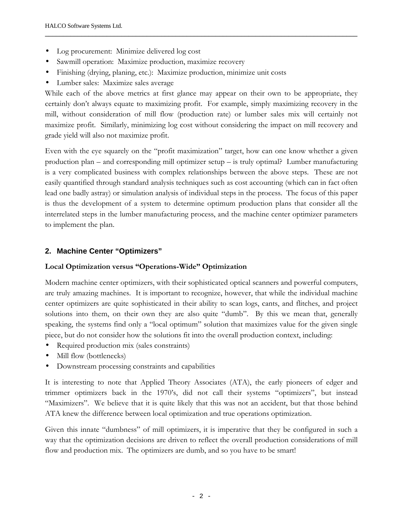- Log procurement: Minimize delivered log cost
- Sawmill operation: Maximize production, maximize recovery
- Finishing (drying, planing, etc.): Maximize production, minimize unit costs
- Lumber sales: Maximize sales average

While each of the above metrics at first glance may appear on their own to be appropriate, they certainly don't always equate to maximizing profit. For example, simply maximizing recovery in the mill, without consideration of mill flow (production rate) or lumber sales mix will certainly not maximize profit. Similarly, minimizing log cost without considering the impact on mill recovery and grade yield will also not maximize profit.

**──────────────────────────────────────────────────────────────────────────────────────**

Even with the eye squarely on the "profit maximization" target, how can one know whether a given production plan – and corresponding mill optimizer setup – is truly optimal? Lumber manufacturing is a very complicated business with complex relationships between the above steps. These are not easily quantified through standard analysis techniques such as cost accounting (which can in fact often lead one badly astray) or simulation analysis of individual steps in the process. The focus of this paper is thus the development of a system to determine optimum production plans that consider all the interrelated steps in the lumber manufacturing process, and the machine center optimizer parameters to implement the plan.

# **2. Machine Center "Optimizers"**

## **Local Optimization versus "Operations-Wide" Optimization**

Modern machine center optimizers, with their sophisticated optical scanners and powerful computers, are truly amazing machines. It is important to recognize, however, that while the individual machine center optimizers are quite sophisticated in their ability to scan logs, cants, and flitches, and project solutions into them, on their own they are also quite "dumb". By this we mean that, generally speaking, the systems find only a "local optimum" solution that maximizes value for the given single piece, but do not consider how the solutions fit into the overall production context, including:

- Required production mix (sales constraints)
- Mill flow (bottlenecks)
- Downstream processing constraints and capabilities

It is interesting to note that Applied Theory Associates (ATA), the early pioneers of edger and trimmer optimizers back in the 1970's, did not call their systems "optimizers", but instead "Maximizers". We believe that it is quite likely that this was not an accident, but that those behind ATA knew the difference between local optimization and true operations optimization.

Given this innate "dumbness" of mill optimizers, it is imperative that they be configured in such a way that the optimization decisions are driven to reflect the overall production considerations of mill flow and production mix. The optimizers are dumb, and so you have to be smart!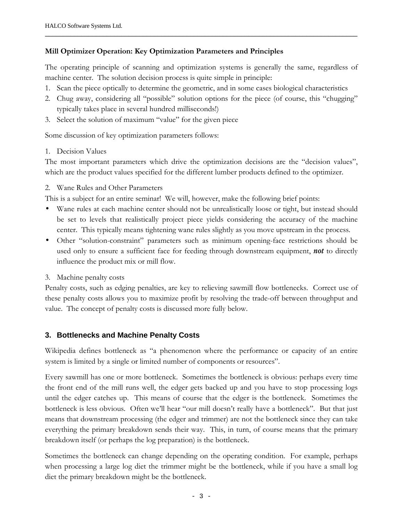#### **Mill Optimizer Operation: Key Optimization Parameters and Principles**

The operating principle of scanning and optimization systems is generally the same, regardless of machine center. The solution decision process is quite simple in principle:

**──────────────────────────────────────────────────────────────────────────────────────**

- 1. Scan the piece optically to determine the geometric, and in some cases biological characteristics
- 2. Chug away, considering all "possible" solution options for the piece (of course, this "chugging" typically takes place in several hundred milliseconds!)
- 3. Select the solution of maximum "value" for the given piece

Some discussion of key optimization parameters follows:

#### 1. Decision Values

The most important parameters which drive the optimization decisions are the "decision values", which are the product values specified for the different lumber products defined to the optimizer.

2. Wane Rules and Other Parameters

This is a subject for an entire seminar! We will, however, make the following brief points:

- Wane rules at each machine center should not be unrealistically loose or tight, but instead should be set to levels that realistically project piece yields considering the accuracy of the machine center. This typically means tightening wane rules slightly as you move upstream in the process.
- Other "solution-constraint" parameters such as minimum opening-face restrictions should be used only to ensure a sufficient face for feeding through downstream equipment, *not* to directly influence the product mix or mill flow.
- 3. Machine penalty costs

Penalty costs, such as edging penalties, are key to relieving sawmill flow bottlenecks. Correct use of these penalty costs allows you to maximize profit by resolving the trade-off between throughput and value. The concept of penalty costs is discussed more fully below.

## **3. Bottlenecks and Machine Penalty Costs**

Wikipedia defines bottleneck as "a phenomenon where the performance or capacity of an entire system is limited by a single or limited number of components or resources".

Every sawmill has one or more bottleneck. Sometimes the bottleneck is obvious: perhaps every time the front end of the mill runs well, the edger gets backed up and you have to stop processing logs until the edger catches up. This means of course that the edger is the bottleneck. Sometimes the bottleneck is less obvious. Often we'll hear "our mill doesn't really have a bottleneck". But that just means that downstream processing (the edger and trimmer) are not the bottleneck since they can take everything the primary breakdown sends their way. This, in turn, of course means that the primary breakdown itself (or perhaps the log preparation) is the bottleneck.

Sometimes the bottleneck can change depending on the operating condition. For example, perhaps when processing a large log diet the trimmer might be the bottleneck, while if you have a small log diet the primary breakdown might be the bottleneck.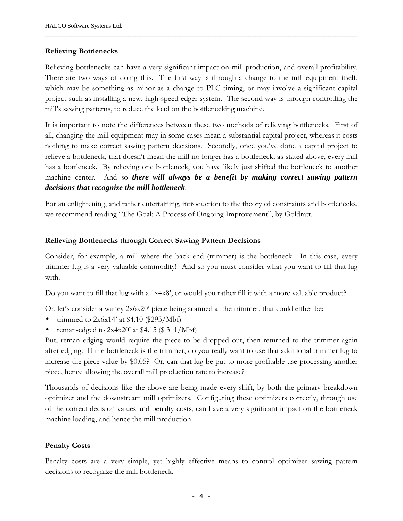#### **Relieving Bottlenecks**

Relieving bottlenecks can have a very significant impact on mill production, and overall profitability. There are two ways of doing this. The first way is through a change to the mill equipment itself, which may be something as minor as a change to PLC timing, or may involve a significant capital project such as installing a new, high-speed edger system. The second way is through controlling the mill's sawing patterns, to reduce the load on the bottlenecking machine.

**──────────────────────────────────────────────────────────────────────────────────────**

It is important to note the differences between these two methods of relieving bottlenecks. First of all, changing the mill equipment may in some cases mean a substantial capital project, whereas it costs nothing to make correct sawing pattern decisions. Secondly, once you've done a capital project to relieve a bottleneck, that doesn't mean the mill no longer has a bottleneck; as stated above, every mill has a bottleneck. By relieving one bottleneck, you have likely just shifted the bottleneck to another machine center. And so *there will always be a benefit by making correct sawing pattern decisions that recognize the mill bottleneck*.

For an enlightening, and rather entertaining, introduction to the theory of constraints and bottlenecks, we recommend reading "The Goal: A Process of Ongoing Improvement", by Goldratt.

#### **Relieving Bottlenecks through Correct Sawing Pattern Decisions**

Consider, for example, a mill where the back end (trimmer) is the bottleneck. In this case, every trimmer lug is a very valuable commodity! And so you must consider what you want to fill that lug with.

Do you want to fill that lug with a 1x4x8', or would you rather fill it with a more valuable product?

Or, let's consider a waney 2x6x20' piece being scanned at the trimmer, that could either be:

- trimmed to  $2x6x14'$  at \$4.10 (\$293/Mbf)
- reman-edged to  $2x4x20'$  at \$4.15 (\$ 311/Mbf)

But, reman edging would require the piece to be dropped out, then returned to the trimmer again after edging. If the bottleneck is the trimmer, do you really want to use that additional trimmer lug to increase the piece value by \$0.05? Or, can that lug be put to more profitable use processing another piece, hence allowing the overall mill production rate to increase?

Thousands of decisions like the above are being made every shift, by both the primary breakdown optimizer and the downstream mill optimizers. Configuring these optimizers correctly, through use of the correct decision values and penalty costs, can have a very significant impact on the bottleneck machine loading, and hence the mill production.

## **Penalty Costs**

Penalty costs are a very simple, yet highly effective means to control optimizer sawing pattern decisions to recognize the mill bottleneck.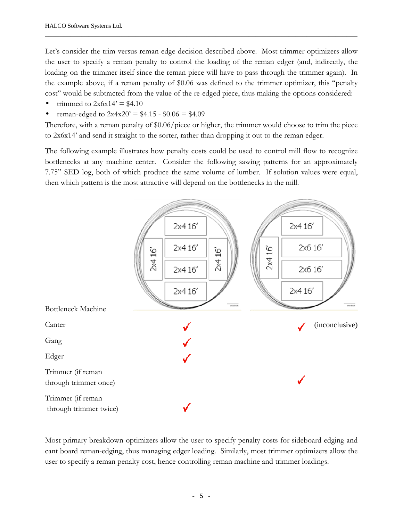Let's consider the trim versus reman-edge decision described above. Most trimmer optimizers allow the user to specify a reman penalty to control the loading of the reman edger (and, indirectly, the loading on the trimmer itself since the reman piece will have to pass through the trimmer again). In the example above, if a reman penalty of \$0.06 was defined to the trimmer optimizer, this "penalty cost" would be subtracted from the value of the re-edged piece, thus making the options considered:

**──────────────────────────────────────────────────────────────────────────────────────**

- trimmed to  $2x6x14' = $4.10$
- reman-edged to  $2x4x20'$  = \$4.15 \$0.06 = \$4.09

Therefore, with a reman penalty of \$0.06/piece or higher, the trimmer would choose to trim the piece to 2x6x14' and send it straight to the sorter, rather than dropping it out to the reman edger.

The following example illustrates how penalty costs could be used to control mill flow to recognize bottlenecks at any machine center. Consider the following sawing patterns for an approximately 7.75" SED log, both of which produce the same volume of lumber. If solution values were equal, then which pattern is the most attractive will depend on the bottlenecks in the mill.



Most primary breakdown optimizers allow the user to specify penalty costs for sideboard edging and cant board reman-edging, thus managing edger loading. Similarly, most trimmer optimizers allow the user to specify a reman penalty cost, hence controlling reman machine and trimmer loadings.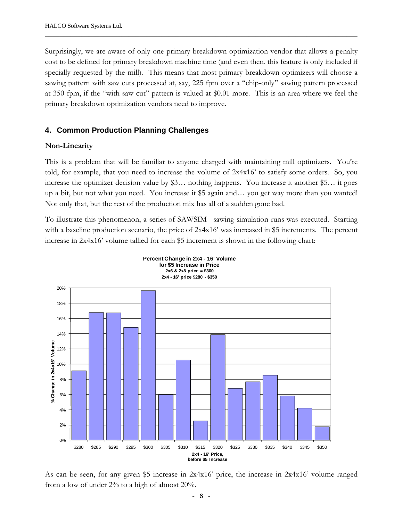Surprisingly, we are aware of only one primary breakdown optimization vendor that allows a penalty cost to be defined for primary breakdown machine time (and even then, this feature is only included if specially requested by the mill). This means that most primary breakdown optimizers will choose a sawing pattern with saw cuts processed at, say, 225 fpm over a "chip-only" sawing pattern processed at 350 fpm, if the "with saw cut" pattern is valued at \$0.01 more. This is an area where we feel the primary breakdown optimization vendors need to improve.

**──────────────────────────────────────────────────────────────────────────────────────**

## **4. Common Production Planning Challenges**

#### **Non-Linearity**

This is a problem that will be familiar to anyone charged with maintaining mill optimizers. You're told, for example, that you need to increase the volume of 2x4x16' to satisfy some orders. So, you increase the optimizer decision value by \$3… nothing happens. You increase it another \$5… it goes up a bit, but not what you need. You increase it \$5 again and… you get way more than you wanted! Not only that, but the rest of the production mix has all of a sudden gone bad.

To illustrate this phenomenon, a series of SAWSIM $^{\circledR}$  sawing simulation runs was executed. Starting with a baseline production scenario, the price of  $2x4x16'$  was increased in \$5 increments. The percent increase in 2x4x16' volume tallied for each \$5 increment is shown in the following chart:



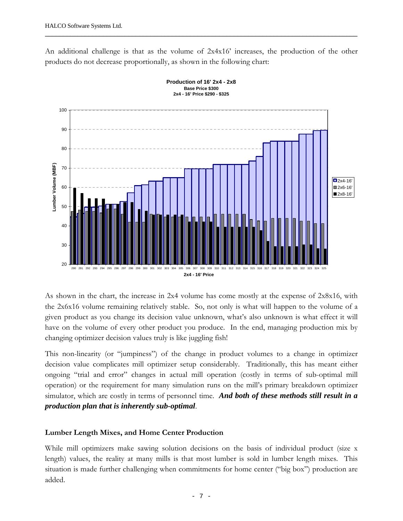An additional challenge is that as the volume of  $2x4x16'$  increases, the production of the other products do not decrease proportionally, as shown in the following chart:

**──────────────────────────────────────────────────────────────────────────────────────**





As shown in the chart, the increase in 2x4 volume has come mostly at the expense of 2x8x16, with the 2x6x16 volume remaining relatively stable. So, not only is what will happen to the volume of a given product as you change its decision value unknown, what's also unknown is what effect it will have on the volume of every other product you produce. In the end, managing production mix by changing optimizer decision values truly is like juggling fish!

This non-linearity (or "jumpiness") of the change in product volumes to a change in optimizer decision value complicates mill optimizer setup considerably. Traditionally, this has meant either ongoing "trial and error" changes in actual mill operation (costly in terms of sub-optimal mill operation) or the requirement for many simulation runs on the mill's primary breakdown optimizer simulator, which are costly in terms of personnel time. *And both of these methods still result in a production plan that is inherently sub-optimal*.

## **Lumber Length Mixes, and Home Center Production**

While mill optimizers make sawing solution decisions on the basis of individual product (size x length) values, the reality at many mills is that most lumber is sold in lumber length mixes. This situation is made further challenging when commitments for home center ("big box") production are added.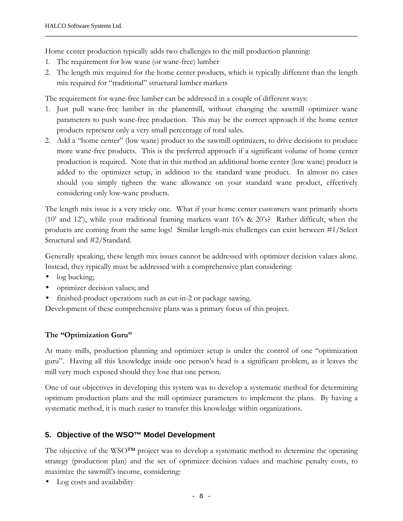Home center production typically adds two challenges to the mill production planning:

- 1. The requirement for low wane (or wane-free) lumber
- 2. The length mix required for the home center products, which is typically different than the length mix required for "traditional" structural lumber markets

**──────────────────────────────────────────────────────────────────────────────────────**

The requirement for wane-free lumber can be addressed in a couple of different ways:

- 1. Just pull wane-free lumber in the planermill, without changing the sawmill optimizer wane parameters to push wane-free production. This may be the correct approach if the home center products represent only a very small percentage of total sales.
- 2. Add a "home center" (low wane) product to the sawmill optimizers, to drive decisions to produce more wane-free products. This is the preferred approach if a significant volume of home center production is required. Note that in this method an additional home center (low wane) product is added to the optimizer setup, in addition to the standard wane product. In almost no cases should you simply tighten the wane allowance on your standard wane product, effectively considering only low-wane products.

The length mix issue is a very tricky one. What if your home center customers want primarily shorts (10' and 12'), while your traditional framing markets want 16's & 20's? Rather difficult, when the products are coming from the same logs! Similar length-mix challenges can exist between #1/Select Structural and #2/Standard.

Generally speaking, these length mix issues cannot be addressed with optimizer decision values alone. Instead, they typically must be addressed with a comprehensive plan considering:

- log bucking;
- optimizer decision values; and
- finished-product operations such as cut-in-2 or package sawing.

Development of these comprehensive plans was a primary focus of this project.

# **The "Optimization Guru"**

At many mills, production planning and optimizer setup is under the control of one "optimization guru". Having all this knowledge inside one person's head is a significant problem, as it leaves the mill very much exposed should they lose that one person.

One of our objectives in developing this system was to develop a systematic method for determining optimum production plans and the mill optimizer parameters to implement the plans. By having a systematic method, it is much easier to transfer this knowledge within organizations.

# **5. Objective of the WSO™ Model Development**

The objective of the WSO™ project was to develop a systematic method to determine the operating strategy (production plan) and the set of optimizer decision values and machine penalty costs, to maximize the sawmill's income, considering:

• Log costs and availability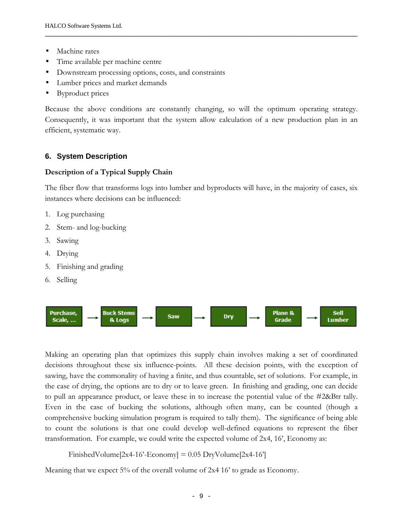- Machine rates
- Time available per machine centre
- Downstream processing options, costs, and constraints
- Lumber prices and market demands
- Byproduct prices

Because the above conditions are constantly changing, so will the optimum operating strategy. Consequently, it was important that the system allow calculation of a new production plan in an efficient, systematic way.

**──────────────────────────────────────────────────────────────────────────────────────**

# **6. System Description**

#### **Description of a Typical Supply Chain**

The fiber flow that transforms logs into lumber and byproducts will have, in the majority of cases, six instances where decisions can be influenced:

- 1. Log purchasing
- 2. Stem- and log-bucking
- 3. Sawing
- 4. Drying
- 5. Finishing and grading
- 6. Selling



Making an operating plan that optimizes this supply chain involves making a set of coordinated decisions throughout these six influence-points. All these decision points, with the exception of sawing, have the commonality of having a finite, and thus countable, set of solutions. For example, in the case of drying, the options are to dry or to leave green. In finishing and grading, one can decide to pull an appearance product, or leave these in to increase the potential value of the #2&Btr tally. Even in the case of bucking the solutions, although often many, can be counted (though a comprehensive bucking simulation program is required to tally them). The significance of being able to count the solutions is that one could develop well-defined equations to represent the fiber transformation. For example, we could write the expected volume of 2x4, 16', Economy as:

FinishedVolume[2x4-16'-Economy] =  $0.05$  DryVolume[2x4-16']

Meaning that we expect 5% of the overall volume of 2x4 16' to grade as Economy.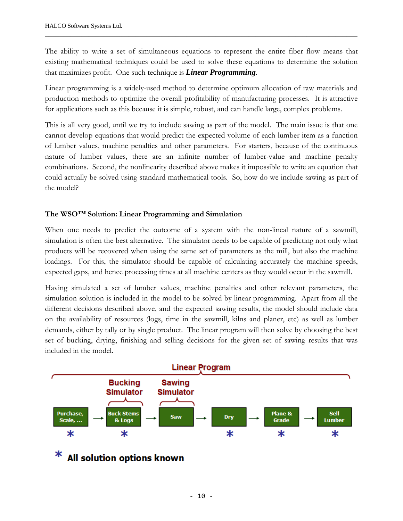The ability to write a set of simultaneous equations to represent the entire fiber flow means that existing mathematical techniques could be used to solve these equations to determine the solution that maximizes profit. One such technique is *Linear Programming*.

**──────────────────────────────────────────────────────────────────────────────────────**

Linear programming is a widely-used method to determine optimum allocation of raw materials and production methods to optimize the overall profitability of manufacturing processes. It is attractive for applications such as this because it is simple, robust, and can handle large, complex problems.

This is all very good, until we try to include sawing as part of the model. The main issue is that one cannot develop equations that would predict the expected volume of each lumber item as a function of lumber values, machine penalties and other parameters. For starters, because of the continuous nature of lumber values, there are an infinite number of lumber-value and machine penalty combinations. Second, the nonlinearity described above makes it impossible to write an equation that could actually be solved using standard mathematical tools. So, how do we include sawing as part of the model?

## **The WSO™ Solution: Linear Programming and Simulation**

When one needs to predict the outcome of a system with the non-lineal nature of a sawmill, simulation is often the best alternative. The simulator needs to be capable of predicting not only what products will be recovered when using the same set of parameters as the mill, but also the machine loadings. For this, the simulator should be capable of calculating accurately the machine speeds, expected gaps, and hence processing times at all machine centers as they would occur in the sawmill.

Having simulated a set of lumber values, machine penalties and other relevant parameters, the simulation solution is included in the model to be solved by linear programming. Apart from all the different decisions described above, and the expected sawing results, the model should include data on the availability of resources (logs, time in the sawmill, kilns and planer, etc) as well as lumber demands, either by tally or by single product. The linear program will then solve by choosing the best set of bucking, drying, finishing and selling decisions for the given set of sawing results that was included in the model.



# All solution options known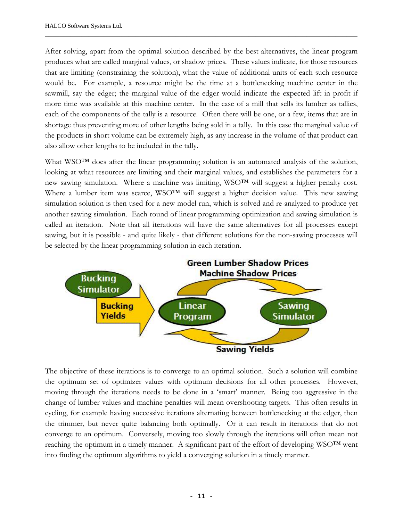After solving, apart from the optimal solution described by the best alternatives, the linear program produces what are called marginal values, or shadow prices. These values indicate, for those resources that are limiting (constraining the solution), what the value of additional units of each such resource would be. For example, a resource might be the time at a bottlenecking machine center in the sawmill, say the edger; the marginal value of the edger would indicate the expected lift in profit if more time was available at this machine center. In the case of a mill that sells its lumber as tallies, each of the components of the tally is a resource. Often there will be one, or a few, items that are in shortage thus preventing more of other lengths being sold in a tally. In this case the marginal value of the products in short volume can be extremely high, as any increase in the volume of that product can also allow other lengths to be included in the tally.

**──────────────────────────────────────────────────────────────────────────────────────**

What WSO™ does after the linear programming solution is an automated analysis of the solution, looking at what resources are limiting and their marginal values, and establishes the parameters for a new sawing simulation. Where a machine was limiting, WSO™ will suggest a higher penalty cost. Where a lumber item was scarce, WSO™ will suggest a higher decision value. This new sawing simulation solution is then used for a new model run, which is solved and re-analyzed to produce yet another sawing simulation. Each round of linear programming optimization and sawing simulation is called an iteration. Note that all iterations will have the same alternatives for all processes except sawing, but it is possible - and quite likely - that different solutions for the non-sawing processes will be selected by the linear programming solution in each iteration.



The objective of these iterations is to converge to an optimal solution. Such a solution will combine the optimum set of optimizer values with optimum decisions for all other processes. However, moving through the iterations needs to be done in a 'smart' manner. Being too aggressive in the change of lumber values and machine penalties will mean overshooting targets. This often results in cycling, for example having successive iterations alternating between bottlenecking at the edger, then the trimmer, but never quite balancing both optimally. Or it can result in iterations that do not converge to an optimum. Conversely, moving too slowly through the iterations will often mean not reaching the optimum in a timely manner. A significant part of the effort of developing WSO™ went into finding the optimum algorithms to yield a converging solution in a timely manner.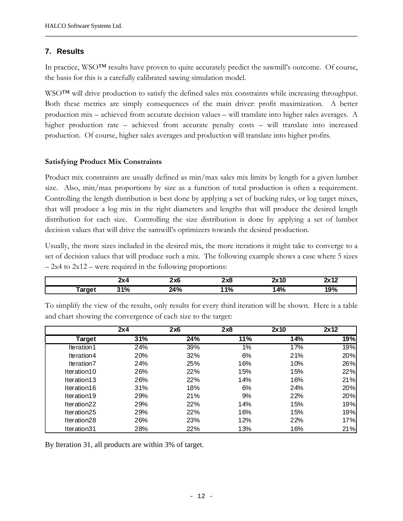## **7. Results**

In practice, WSO™ results have proven to quite accurately predict the sawmill's outcome. Of course, the basis for this is a carefully calibrated sawing simulation model.

**──────────────────────────────────────────────────────────────────────────────────────**

WSO™ will drive production to satisfy the defined sales mix constraints while increasing throughput. Both these metrics are simply consequences of the main driver: profit maximization. A better production mix – achieved from accurate decision values – will translate into higher sales averages. A higher production rate – achieved from accurate penalty costs – will translate into increased production. Of course, higher sales averages and production will translate into higher profits.

#### **Satisfying Product Mix Constraints**

Product mix constraints are usually defined as min/max sales mix limits by length for a given lumber size. Also, min/max proportions by size as a function of total production is often a requirement. Controlling the length distribution is best done by applying a set of bucking rules, or log target mixes, that will produce a log mix in the right diameters and lengths that will produce the desired length distribution for each size. Controlling the size distribution is done by applying a set of lumber decision values that will drive the samwill's optimizers towards the desired production.

Usually, the more sizes included in the desired mix, the more iterations it might take to converge to a set of decision values that will produce such a mix. The following example shows a case where 5 sizes  $-2x4$  to  $2x12$  – were required in the following proportions:

|        | .        | יש נ<br>-^~<br>$\sim$ | י בי<br><b>ZYO</b> | ำเ  | "<br>- 14 |
|--------|----------|-----------------------|--------------------|-----|-----------|
| ı uı y | n.<br>70 | ۰.<br>70              | 401<br>70          | 14% | 7٥        |

|             | 2x4 | 2x6 | 2x8   | 2x10 | 2x12 |
|-------------|-----|-----|-------|------|------|
| Target      | 31% | 24% | 11%   | 14%  | 19%  |
| Iteration1  | 24% | 39% | $1\%$ | 17%  | 19%  |
| Iteration4  | 20% | 32% | 6%    | 21%  | 20%  |
| Iteration7  | 24% | 25% | 16%   | 10%  | 26%  |
| Iteration10 | 26% | 22% | 15%   | 15%  | 22%  |
| Iteration13 | 26% | 22% | 14%   | 16%  | 21%  |
| Iteration16 | 31% | 18% | 6%    | 24%  | 20%  |
| Iteration19 | 29% | 21% | 9%    | 22%  | 20%  |
| Iteration22 | 29% | 22% | 14%   | 15%  | 19%  |
| Iteration25 | 29% | 22% | 16%   | 15%  | 19%  |
| Iteration28 | 26% | 23% | 12%   | 22%  | 17%  |
| Iteration31 | 28% | 22% | 13%   | 16%  | 21%  |

To simplify the view of the results, only results for every third iteration will be shown. Here is a table and chart showing the convergence of each size to the target:

By Iteration 31, all products are within 3% of target.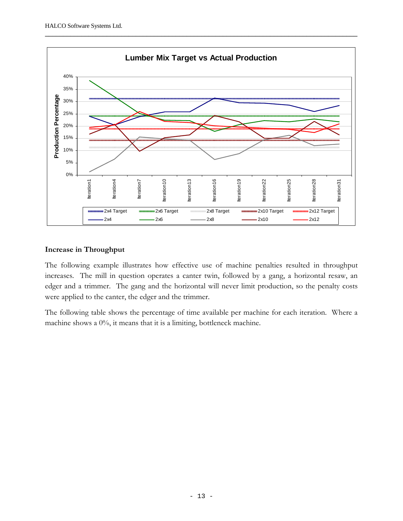

#### **Increase in Throughput**

The following example illustrates how effective use of machine penalties resulted in throughput increases. The mill in question operates a canter twin, followed by a gang, a horizontal resaw, an edger and a trimmer. The gang and the horizontal will never limit production, so the penalty costs were applied to the canter, the edger and the trimmer.

The following table shows the percentage of time available per machine for each iteration. Where a machine shows a 0%, it means that it is a limiting, bottleneck machine.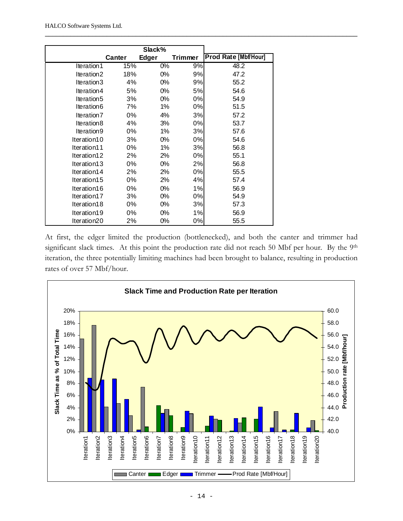|             | Canter | Edger | Trimmer | Prod Rate [Mbf/Hour] |
|-------------|--------|-------|---------|----------------------|
| Iteration1  | 15%    | 0%    | 9%      | 48.2                 |
| Iteration2  | 18%    | 0%    | 9%      | 47.2                 |
| Iteration3  | 4%     | $0\%$ | 9%      | 55.2                 |
| Iteration4  | 5%     | 0%    | 5%      | 54.6                 |
| Iteration5  | 3%     | 0%    | 0%      | 54.9                 |
| Iteration6  | 7%     | 1%    | 0%      | 51.5                 |
| Iteration7  | 0%     | 4%    | 3%      | 57.2                 |
| Iteration8  | 4%     | 3%    | 0%      | 53.7                 |
| Iteration9  | 0%     | 1%    | 3%      | 57.6                 |
| Iteration10 | 3%     | 0%    | 0%      | 54.6                 |
| Iteration11 | 0%     | 1%    | 3%      | 56.8                 |
| Iteration12 | 2%     | 2%    | 0%      | 55.1                 |
| Iteration13 | 0%     | 0%    | 2%      | 56.8                 |
| Iteration14 | 2%     | 2%    | 0%      | 55.5                 |
| Iteration15 | 0%     | 2%    | 4%      | 57.4                 |
| Iteration16 | 0%     | 0%    | 1%      | 56.9                 |
| Iteration17 | 3%     | 0%    | 0%      | 54.9                 |
| Iteration18 | 0%     | 0%    | 3%      | 57.3                 |
| Iteration19 | 0%     | 0%    | 1%      | 56.9                 |
| Iteration20 | 2%     | 0%    | 0%      | 55.5                 |

At first, the edger limited the production (bottlenecked), and both the canter and trimmer had significant slack times. At this point the production rate did not reach 50 Mbf per hour. By the 9th iteration, the three potentially limiting machines had been brought to balance, resulting in production rates of over 57 Mbf/hour.

**──────────────────────────────────────────────────────────────────────────────────────**

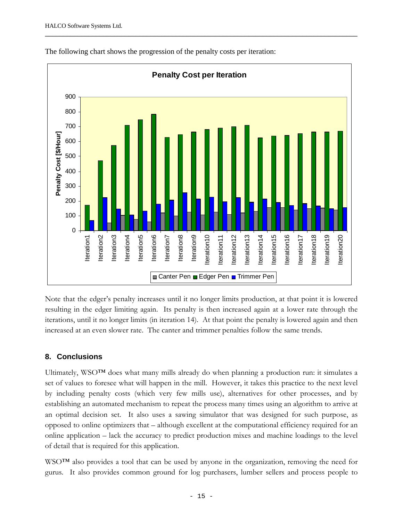

**──────────────────────────────────────────────────────────────────────────────────────**

The following chart shows the progression of the penalty costs per iteration:

Note that the edger's penalty increases until it no longer limits production, at that point it is lowered resulting in the edger limiting again. Its penalty is then increased again at a lower rate through the iterations, until it no longer limits (in iteration 14). At that point the penalty is lowered again and then increased at an even slower rate. The canter and trimmer penalties follow the same trends.

# **8. Conclusions**

Ultimately, WSO™ does what many mills already do when planning a production run: it simulates a set of values to foresee what will happen in the mill. However, it takes this practice to the next level by including penalty costs (which very few mills use), alternatives for other processes, and by establishing an automated mechanism to repeat the process many times using an algorithm to arrive at an optimal decision set. It also uses a sawing simulator that was designed for such purpose, as opposed to online optimizers that – although excellent at the computational efficiency required for an online application – lack the accuracy to predict production mixes and machine loadings to the level of detail that is required for this application.

WSO™ also provides a tool that can be used by anyone in the organization, removing the need for gurus. It also provides common ground for log purchasers, lumber sellers and process people to